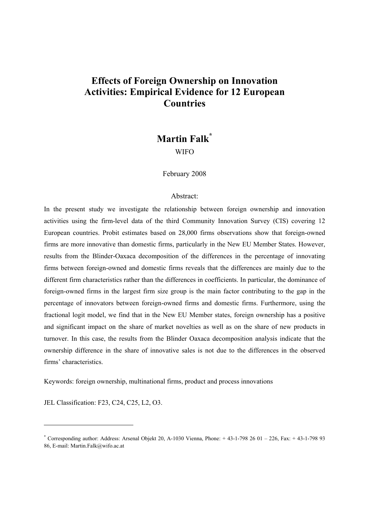# **Effects of Foreign Ownership on Innovation Activities: Empirical Evidence for 12 European Countries**

# **Martin Falk\* WIFO**

February 2008

## Abstract:

In the present study we investigate the relationship between foreign ownership and innovation activities using the firm-level data of the third Community Innovation Survey (CIS) covering 12 European countries. Probit estimates based on 28,000 firms observations show that foreign-owned firms are more innovative than domestic firms, particularly in the New EU Member States. However, results from the Blinder-Oaxaca decomposition of the differences in the percentage of innovating firms between foreign-owned and domestic firms reveals that the differences are mainly due to the different firm characteristics rather than the differences in coefficients. In particular, the dominance of foreign-owned firms in the largest firm size group is the main factor contributing to the gap in the percentage of innovators between foreign-owned firms and domestic firms. Furthermore, using the fractional logit model, we find that in the New EU Member states, foreign ownership has a positive and significant impact on the share of market novelties as well as on the share of new products in turnover. In this case, the results from the Blinder Oaxaca decomposition analysis indicate that the ownership difference in the share of innovative sales is not due to the differences in the observed firms' characteristics.

Keywords: foreign ownership, multinational firms, product and process innovations

JEL Classification: F23, C24, C25, L2, O3.

l

<sup>\*</sup> Corresponding author: Address: Arsenal Objekt 20, A-1030 Vienna, Phone: + 43-1-798 26 01 – 226, Fax: + 43-1-798 93 86, E-mail: Martin Falk@wifo.ac.at.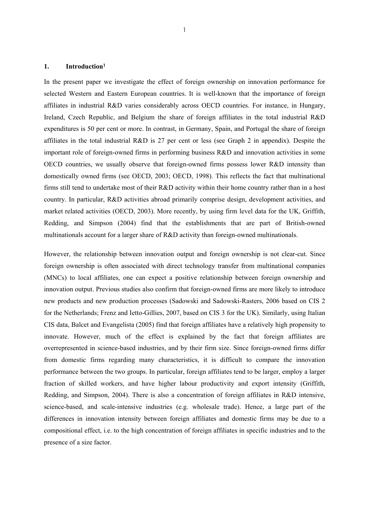## **1. Introduction<sup>1</sup>**

In the present paper we investigate the effect of foreign ownership on innovation performance for selected Western and Eastern European countries. It is well-known that the importance of foreign affiliates in industrial R&D varies considerably across OECD countries. For instance, in Hungary, Ireland, Czech Republic, and Belgium the share of foreign affiliates in the total industrial R&D expenditures is 50 per cent or more. In contrast, in Germany, Spain, and Portugal the share of foreign affiliates in the total industrial R&D is 27 per cent or less (see Graph 2 in appendix). Despite the important role of foreign-owned firms in performing business R&D and innovation activities in some OECD countries, we usually observe that foreign-owned firms possess lower R&D intensity than domestically owned firms (see OECD, 2003; OECD, 1998). This reflects the fact that multinational firms still tend to undertake most of their R&D activity within their home country rather than in a host country. In particular, R&D activities abroad primarily comprise design, development activities, and market related activities (OECD, 2003). More recently, by using firm level data for the UK, Griffith, Redding, and Simpson (2004) find that the establishments that are part of British-owned multinationals account for a larger share of R&D activity than foreign-owned multinationals.

However, the relationship between innovation output and foreign ownership is not clear-cut. Since foreign ownership is often associated with direct technology transfer from multinational companies (MNCs) to local affiliates, one can expect a positive relationship between foreign ownership and innovation output. Previous studies also confirm that foreign-owned firms are more likely to introduce new products and new production processes (Sadowski and Sadowski-Rasters, 2006 based on CIS 2 for the Netherlands; Frenz and Ietto-Gillies, 2007, based on CIS 3 for the UK). Similarly, using Italian CIS data, Balcet and Evangelista (2005) find that foreign affiliates have a relatively high propensity to innovate. However, much of the effect is explained by the fact that foreign affiliates are overrepresented in science-based industries, and by their firm size. Since foreign-owned firms differ from domestic firms regarding many characteristics, it is difficult to compare the innovation performance between the two groups. In particular, foreign affiliates tend to be larger, employ a larger fraction of skilled workers, and have higher labour productivity and export intensity (Griffith, Redding, and Simpson, 2004). There is also a concentration of foreign affiliates in R&D intensive, science-based, and scale-intensive industries (e.g. wholesale trade). Hence, a large part of the differences in innovation intensity between foreign affiliates and domestic firms may be due to a compositional effect, i.e. to the high concentration of foreign affiliates in specific industries and to the presence of a size factor.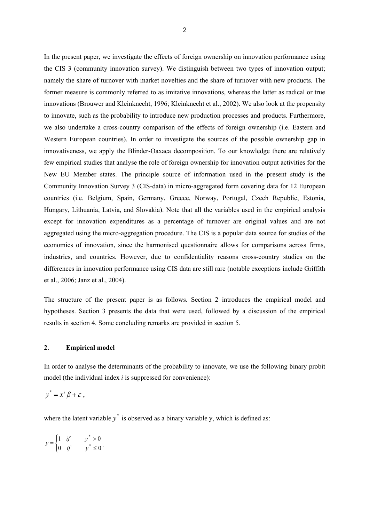In the present paper, we investigate the effects of foreign ownership on innovation performance using the CIS 3 (community innovation survey). We distinguish between two types of innovation output; namely the share of turnover with market novelties and the share of turnover with new products. The former measure is commonly referred to as imitative innovations, whereas the latter as radical or true innovations (Brouwer and Kleinknecht, 1996; Kleinknecht et al., 2002). We also look at the propensity to innovate, such as the probability to introduce new production processes and products. Furthermore, we also undertake a cross-country comparison of the effects of foreign ownership (i.e. Eastern and Western European countries). In order to investigate the sources of the possible ownership gap in innovativeness, we apply the Blinder-Oaxaca decomposition. To our knowledge there are relatively few empirical studies that analyse the role of foreign ownership for innovation output activities for the New EU Member states. The principle source of information used in the present study is the Community Innovation Survey 3 (CIS-data) in micro-aggregated form covering data for 12 European countries (i.e. Belgium, Spain, Germany, Greece, Norway, Portugal, Czech Republic, Estonia, Hungary, Lithuania, Latvia, and Slovakia). Note that all the variables used in the empirical analysis except for innovation expenditures as a percentage of turnover are original values and are not aggregated using the micro-aggregation procedure. The CIS is a popular data source for studies of the economics of innovation, since the harmonised questionnaire allows for comparisons across firms, industries, and countries. However, due to confidentiality reasons cross-country studies on the differences in innovation performance using CIS data are still rare (notable exceptions include Griffith et al., 2006; Janz et al., 2004).

The structure of the present paper is as follows. Section 2 introduces the empirical model and hypotheses. Section 3 presents the data that were used, followed by a discussion of the empirical results in section 4. Some concluding remarks are provided in section 5.

#### **2. Empirical model**

In order to analyse the determinants of the probability to innovate, we use the following binary probit model (the individual index *i* is suppressed for convenience):

$$
y^* = x^* \beta + \varepsilon ,
$$

where the latent variable  $y^*$  is observed as a binary variable y, which is defined as:

$$
y = \begin{cases} 1 & \text{if} & y^* > 0 \\ 0 & \text{if} & y^* \le 0 \end{cases}.
$$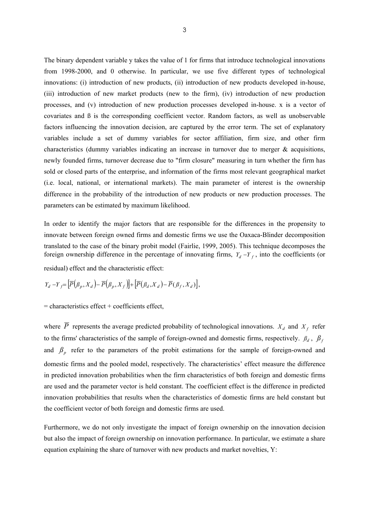The binary dependent variable y takes the value of 1 for firms that introduce technological innovations from 1998-2000, and 0 otherwise. In particular, we use five different types of technological innovations: (i) introduction of new products, (ii) introduction of new products developed in-house, (iii) introduction of new market products (new to the firm), (iv) introduction of new production processes, and (v) introduction of new production processes developed in-house. x is a vector of covariates and  $\beta$  is the corresponding coefficient vector. Random factors, as well as unobservable factors influencing the innovation decision, are captured by the error term. The set of explanatory variables include a set of dummy variables for sector affiliation, firm size, and other firm characteristics (dummy variables indicating an increase in turnover due to merger & acquisitions, newly founded firms, turnover decrease due to "firm closure" measuring in turn whether the firm has sold or closed parts of the enterprise, and information of the firms most relevant geographical market (i.e. local, national, or international markets). The main parameter of interest is the ownership difference in the probability of the introduction of new products or new production processes. The parameters can be estimated by maximum likelihood.

In order to identify the major factors that are responsible for the differences in the propensity to innovate between foreign owned firms and domestic firms we use the Oaxaca-Blinder decomposition translated to the case of the binary probit model (Fairlie, 1999, 2005). This technique decomposes the foreign ownership difference in the percentage of innovating firms,  $Y_d - Y_f$ , into the coefficients (or residual) effect and the characteristic effect:

$$
Y_d - Y_f = \left[ \overline{P}(\beta_p, X_d) - \overline{P}(\beta_p, X_f) \right] + \left[ \overline{P}(\beta_d, X_d) - \overline{P}(\beta_f, X_d) \right],
$$

 $=$  characteristics effect  $+$  coefficients effect,

where  $\overline{P}$  represents the average predicted probability of technological innovations.  $X_d$  and  $X_f$  refer to the firms' characteristics of the sample of foreign-owned and domestic firms, respectively.  $\beta_d$ ,  $\beta_f$ and  $\beta$ <sub>n</sub> refer to the parameters of the probit estimations for the sample of foreign-owned and domestic firms and the pooled model, respectively. The characteristics' effect measure the difference in predicted innovation probabilities when the firm characteristics of both foreign and domestic firms are used and the parameter vector is held constant. The coefficient effect is the difference in predicted innovation probabilities that results when the characteristics of domestic firms are held constant but the coefficient vector of both foreign and domestic firms are used.

Furthermore, we do not only investigate the impact of foreign ownership on the innovation decision but also the impact of foreign ownership on innovation performance. In particular, we estimate a share equation explaining the share of turnover with new products and market novelties, Y: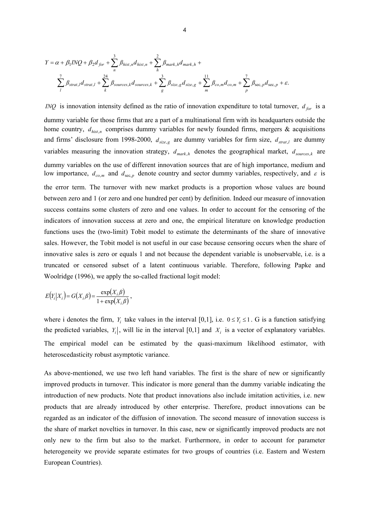$$
Y = \alpha + \beta_1 INQ + \beta_2 d_{for} + \sum_{n}^{3} \beta_{hist,n} d_{hist,n} + \sum_{h}^{2} \beta_{mark,h} d_{mark,h} +
$$
  

$$
\sum_{l} \beta_{strat,l} d_{strat,l} + \sum_{k}^{24} \beta_{sources,k} d_{sources,k} + \sum_{g}^{3} \beta_{size,g} d_{size,g} + \sum_{m}^{11} \beta_{co,m} d_{co,m} + \sum_{p}^{7} \beta_{sec,p} d_{sec,p} + \varepsilon.
$$

*INQ* is innovation intensity defined as the ratio of innovation expenditure to total turnover,  $d_{for}$  is a dummy variable for those firms that are a part of a multinational firm with its headquarters outside the home country,  $d_{hist,n}$  comprises dummy variables for newly founded firms, mergers  $\&$  acquisitions and firms' disclosure from 1998-2000,  $d_{size,g}$  are dummy variables for firm size,  $d_{strat,l}$  are dummy variables measuring the innovation strategy,  $d_{mark,h}$  denotes the geographical market,  $d_{sources,k}$  are dummy variables on the use of different innovation sources that are of high importance, medium and low importance,  $d_{co,m}$  and  $d_{sec,n}$  denote country and sector dummy variables, respectively, and  $\varepsilon$  is the error term. The turnover with new market products is a proportion whose values are bound between zero and 1 (or zero and one hundred per cent) by definition. Indeed our measure of innovation success contains some clusters of zero and one values. In order to account for the censoring of the indicators of innovation success at zero and one, the empirical literature on knowledge production functions uses the (two-limit) Tobit model to estimate the determinants of the share of innovative sales. However, the Tobit model is not useful in our case because censoring occurs when the share of innovative sales is zero or equals 1 and not because the dependent variable is unobservable, i.e. is a truncated or censored subset of a latent continuous variable. Therefore, following Papke and Woolridge (1996), we apply the so-called fractional logit model:

$$
E(Y_i|X_i) = G(X_i,\beta) = \frac{\exp(X_i,\beta)}{1 + \exp(X_i,\beta)},
$$

where i denotes the firm, *Y<sub>i</sub>* take values in the interval [0,1], i.e.  $0 \le Y_i \le 1$ . G is a function satisfying the predicted variables,  $Y_i$ , will lie in the interval [0,1] and  $X_i$  is a vector of explanatory variables. The empirical model can be estimated by the quasi-maximum likelihood estimator, with heteroscedasticity robust asymptotic variance.

As above-mentioned, we use two left hand variables. The first is the share of new or significantly improved products in turnover. This indicator is more general than the dummy variable indicating the introduction of new products. Note that product innovations also include imitation activities, i.e. new products that are already introduced by other enterprise. Therefore, product innovations can be regarded as an indicator of the diffusion of innovation. The second measure of innovation success is the share of market novelties in turnover. In this case, new or significantly improved products are not only new to the firm but also to the market. Furthermore, in order to account for parameter heterogeneity we provide separate estimates for two groups of countries (i.e. Eastern and Western European Countries).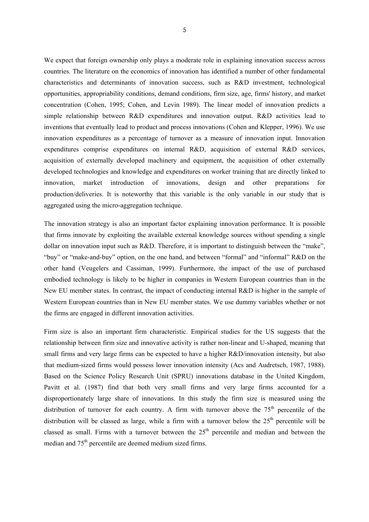We expect that foreign ownership only plays a moderate role in explaining innovation success across countries. The literature on the economics of innovation has identified a number of other fundamental characteristics and determinants of innovation success, such as R&D investment, technological opportunities, appropriability conditions, demand conditions, firm size, age, firms' history, and market concentration (Cohen, 1995; Cohen, and Levin 1989). The linear model of innovation predicts a simple relationship between R&D expenditures and innovation output. R&D activities lead to inventions that eventually lead to product and process innovations (Cohen and Klepper, 1996). We use innovation expenditures as a percentage of turnover as a measure of innovation input. Innovation expenditures comprise expenditures on internal R&D, acquisition of external R&D services, acquisition of externally developed machinery and equipment, the acquisition of other externally developed technologies and knowledge and expenditures on worker training that are directly linked to innovation, market introduction of innovations, design and other preparations for production/deliveries. It is noteworthy that this variable is the only variable in our study that is aggregated using the micro-aggregation technique.

The innovation strategy is also an important factor explaining innovation performance. It is possible that firms innovate by exploiting the available external knowledge sources without spending a single dollar on innovation input such as R&D. Therefore, it is important to distinguish between the "make", "buy" or "make-and-buy" option, on the one hand, and between "formal" and "informal" R&D on the other hand (Veugelers and Cassiman, 1999). Furthermore, the impact of the use of purchased embodied technology is likely to be higher in companies in Western European countries than in the New EU member states. In contrast, the impact of conducting internal R&D is higher in the sample of Western European countries than in New EU member states. We use dummy variables whether or not the firms are engaged in different innovation activities.

Firm size is also an important firm characteristic. Empirical studies for the US suggests that the relationship between firm size and innovative activity is rather non-linear and U-shaped, meaning that small firms and very large firms can be expected to have a higher R&D/innovation intensity, but also that medium-sized firms would possess lower innovation intensity (Acs and Audretsch, 1987, 1988). Based on the Science Policy Research Unit (SPRU) innovations database in the United Kingdom, Pavitt et al. (1987) find that both very small firms and very large firms accounted for a disproportionately large share of innovations. In this study the firm size is measured using the distribution of turnover for each country. A firm with turnover above the  $75<sup>th</sup>$  percentile of the distribution will be classed as large, while a firm with a turnover below the  $25<sup>th</sup>$  percentile will be classed as small. Firms with a turnover between the  $25<sup>th</sup>$  percentile and median and between the median and 75<sup>th</sup> percentile are deemed medium sized firms.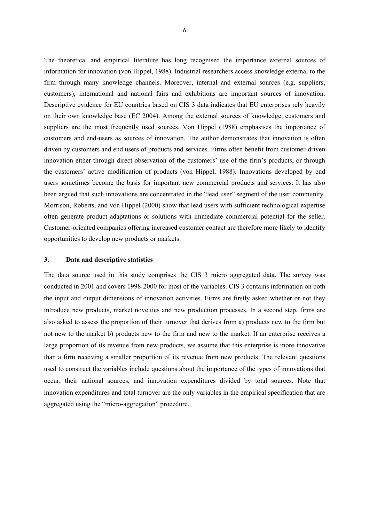The theoretical and empirical literature has long recognised the importance external sources of information for innovation (von Hippel, 1988). Industrial researchers access knowledge external to the firm through many knowledge channels. Moreover, internal and external sources (e.g. suppliers, customers), international and national fairs and exhibitions are important sources of innovation. Descriptive evidence for EU countries based on CIS 3 data indicates that EU enterprises rely heavily on their own knowledge base (EC 2004). Among the external sources of knowledge, customers and suppliers are the most frequently used sources. Von Hippel (1988) emphasises the importance of customers and end-users as sources of innovation. The author demonstrates that innovation is often driven by customers and end users of products and services. Firms often benefit from customer-driven innovation either through direct observation of the customers' use of the firm's products, or through the customers' active modification of products (von Hippel, 1988). Innovations developed by end users sometimes become the basis for important new commercial products and services. It has also been argued that such innovations are concentrated in the "lead user" segment of the user community. Morrison, Roberts, and von Hippel (2000) show that lead users with sufficient technological expertise often generate product adaptations or solutions with immediate commercial potential for the seller. Customer-oriented companies offering increased customer contact are therefore more likely to identify opportunities to develop new products or markets.

#### **3. Data and descriptive statistics**

The data source used in this study comprises the CIS 3 micro aggregated data. The survey was conducted in 2001 and covers 1998-2000 for most of the variables. CIS 3 contains information on both the input and output dimensions of innovation activities. Firms are firstly asked whether or not they introduce new products, market novelties and new production processes. In a second step, firms are also asked to assess the proportion of their turnover that derives from a) products new to the firm but not new to the market b) products new to the firm and new to the market. If an enterprise receives a large proportion of its revenue from new products, we assume that this enterprise is more innovative than a firm receiving a smaller proportion of its revenue from new products. The relevant questions used to construct the variables include questions about the importance of the types of innovations that occur, their national sources, and innovation expenditures divided by total sources. Note that innovation expenditures and total turnover are the only variables in the empirical specification that are aggregated using the "micro-aggregation" procedure.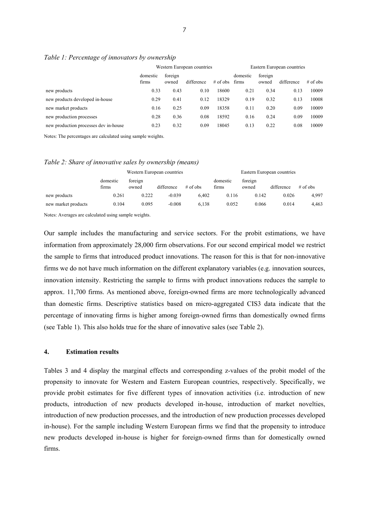|                                       | Western European countries |                  |            |            | Eastern European countries |                  |            |            |
|---------------------------------------|----------------------------|------------------|------------|------------|----------------------------|------------------|------------|------------|
|                                       | domestic<br>firms          | foreign<br>owned | difference | $#$ of obs | domestic<br>firms          | foreign<br>owned | difference | $#$ of obs |
| new products                          | 0.33                       | 0.43             | 0.10       | 18600      | 0.21                       | 0.34             | 0.13       | 10009      |
| new products developed in-house       | 0.29                       | 0.41             | 0.12       | 18329      | 0.19                       | 0.32             | 0.13       | 10008      |
| new market products                   | 0.16                       | 0.25             | 0.09       | 18358      | 0.11                       | 0.20             | 0.09       | 10009      |
| new production processes              | 0.28                       | 0.36             | 0.08       | 18592      | 0.16                       | 0.24             | 0.09       | 10009      |
| new production processes dev in-house | 0.23                       | 0.32             | 0.09       | 18045      | 0.13                       | 0.22             | 0.08       | 10009      |
|                                       |                            |                  |            |            |                            |                  |            |            |

#### *Table 1: Percentage of innovators by ownership*

Notes: The percentages are calculated using sample weights.

#### *Table 2: Share of innovative sales by ownership (means)*

|                     |                   | Western European countries |            |            | Eastern European countries |                  |            |            |
|---------------------|-------------------|----------------------------|------------|------------|----------------------------|------------------|------------|------------|
|                     | domestic<br>firms | foreign<br>owned           | difference | $#$ of obs | domestic<br>firms          | foreign<br>owned | difference | $#$ of obs |
| new products        | 0.261             | 0.222                      | $-0.039$   | 6.402      | 0.116                      | 0.142            | 0.026      | 4,997      |
| new market products | 0.104             | 0.095                      | $-0.008$   | 6.138      | 0.052                      | 0.066            | 0.014      | 4,463      |

Notes: Averages are calculated using sample weights.

Our sample includes the manufacturing and service sectors. For the probit estimations, we have information from approximately 28,000 firm observations. For our second empirical model we restrict the sample to firms that introduced product innovations. The reason for this is that for non-innovative firms we do not have much information on the different explanatory variables (e.g. innovation sources, innovation intensity. Restricting the sample to firms with product innovations reduces the sample to approx. 11,700 firms. As mentioned above, foreign-owned firms are more technologically advanced than domestic firms. Descriptive statistics based on micro-aggregated CIS3 data indicate that the percentage of innovating firms is higher among foreign-owned firms than domestically owned firms (see Table 1). This also holds true for the share of innovative sales (see Table 2).

## **4. Estimation results**

Tables 3 and 4 display the marginal effects and corresponding z-values of the probit model of the propensity to innovate for Western and Eastern European countries, respectively. Specifically, we provide probit estimates for five different types of innovation activities (i.e. introduction of new products, introduction of new products developed in-house, introduction of market novelties, introduction of new production processes, and the introduction of new production processes developed in-house). For the sample including Western European firms we find that the propensity to introduce new products developed in-house is higher for foreign-owned firms than for domestically owned firms.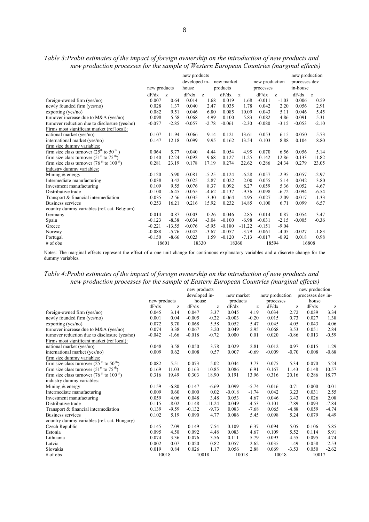| <b>A</b>                                      | v            |         |                               |         |            |             |                | ິ       | ັ                               |         |
|-----------------------------------------------|--------------|---------|-------------------------------|---------|------------|-------------|----------------|---------|---------------------------------|---------|
|                                               |              |         | new products<br>developed in- |         | new market |             | new production |         | new production<br>processes dev |         |
|                                               | new products |         | house                         |         | products   |             | processes      |         | in-house                        |         |
|                                               |              |         |                               |         |            |             |                |         |                                 |         |
|                                               | dF/dx        | Z.      | dF/dx                         | Z.      | dF/dx      | $Z_{\rm c}$ | dF/dx          | Z.      | dF/dx                           | Z       |
| foreign-owned firm (yes/no)                   | 0.007        | 0.64    | 0.014                         | 1.68    | 0.019      | 1.68        | $-0.011$       | $-1.03$ | 0.006                           | 0.59    |
| newly founded firm (yes/no)                   | 0.028        | 1.37    | 0.040                         | 2.47    | 0.035      | 1.78        | 0.042          | 2.20    | 0.056                           | 2.91    |
| exporting ( $yes/no)$ )                       | 0.082        | 9.51    | 0.046                         | 6.80    | 0.085      | 10.09       | 0.043          | 5.11    | 0.046                           | 5.45    |
| turnover increase due to M&A (yes/no)         | 0.098        | 5.58    | 0.068                         | 4.99    | 0.100      | 5.83        | 0.082          | 4.86    | 0.091                           | 5.31    |
| turnover reduction due to disclosure (yes/no) | $-0.077$     | $-2.85$ | $-0.057$                      | $-2.78$ | $-0.061$   | $-2.30$     | $-0.080$       | $-3.15$ | $-0.053$                        | $-2.10$ |
| Firms most significant market (ref local):    |              |         |                               |         |            |             |                |         |                                 |         |
| national market (yes/no)                      | 0.107        | 11.94   | 0.066                         | 9.14    | 0.121      | 13.61       | 0.053          | 6.15    | 0.050                           | 5.73    |
| international market (yes/no)                 | 0.147        | 12.18   | 0.099                         | 9.95    | 0.162      | 13.54       | 0.103          | 8.88    | 0.104                           | 8.80    |
| firm size dummy variables:                    |              |         |                               |         |            |             |                |         |                                 |         |
| firm size class turnover $(25th$ to $50th$ )  | 0.064        | 5.77    | 0.040                         | 4.44    | 0.054      | 4.95        | 0.070          | 6.56    | 0.056                           | 5.14    |
| firm size class turnover $(51st$ to $75th)$   | 0.140        | 12.24   | 0.092                         | 9.68    | 0.127      | 11.25       | 0.142          | 12.86   | 0.133                           | 11.82   |
| firm size class turnover $(76th$ to $100th)$  | 0.281        | 23.19   | 0.178                         | 17.19   | 0.274      | 22.62       | 0.286          | 24.34   | 0.279                           | 23.05   |
| industry dummy variables:                     |              |         |                               |         |            |             |                |         |                                 |         |
| Mining $&$ energy                             | $-0.120$     | $-5.90$ | $-0.081$                      | $-5.25$ | $-0.124$   | $-6.28$     | $-0.057$       | $-2.95$ | $-0.057$                        | $-2.97$ |
| Intermediate manufacturing                    | 0.038        | 3.42    | 0.025                         | 2.87    | 0.022      | 2.00        | 0.055          | 5.14    | 0.042                           | 3.80    |
| Investment manufacturing                      | 0.109        | 9.55    | 0.076                         | 8.37    | 0.092      | 8.27        | 0.059          | 5.36    | 0.052                           | 4.67    |
| Distributive trade                            | $-0.100$     | $-6.45$ | $-0.055$                      | $-4.62$ | $-0.137$   | $-9.36$     | $-0.098$       | $-6.72$ | $-0.094$                        | $-6.54$ |
| Transport & financial intermediation          | $-0.035$     | $-2.56$ | $-0.035$                      | $-3.30$ | $-0.064$   | $-4.95$     | $-0.027$       | $-2.09$ | $-0.017$                        | $-1.33$ |
| Business services                             | 0.253        | 16.21   | 0.216                         | 15.92   | 0.232      | 14.85       | 0.100          | 6.71    | 0.099                           | 6.57    |
| country dummy variables (ref. cat. Belgium)   |              |         |                               |         |            |             |                |         |                                 |         |

## *Table 3:Probit estimates of the impact of foreign ownership on the introduction of new products and new production processes for the sample of Western European Countries (marginal effects)*

Notes: The marginal effects represent the effect of a one unit change for continuous explanatory variables and a discrete change for the dummy variables.

Germany 0.014 0.87 0.003 0.26 0.046 2.85 0.014 0.87 0.054 3.47 Spain -0.123 -8.38 -0.034 -3.04 -0.100 -6.98 -0.031 -2.15 -0.005 -0.36

Norway -0.088 -5.76 -0.042 -3.67 -0.057 -3.79 -0.061 -4.05 -0.027 -1.83 Portugal -0.150 -8.66 0.023 1.59 -0.120 -7.13 -0.017 -0.92 0.018 0.98 # of obs 18601 18330 18360 18594 16808

Greece -0.221 -13.55 -0.076 -5.95 -0.180 -11.22 -0.151 -9.04

## *Table 4:Probit estimates of the impact of foreign ownership on the introduction of new products and new production processes for the sample of Eastern European Countries (marginal effects)*

|                                               |              |         | new products<br>developed in- |          | new market |          | new production     |         | new production<br>processes dev in- |         |  |
|-----------------------------------------------|--------------|---------|-------------------------------|----------|------------|----------|--------------------|---------|-------------------------------------|---------|--|
|                                               | new products |         |                               | house    |            | products |                    |         | house                               |         |  |
|                                               | dF/dx        | z       | dF/dx                         | z        | dF/dx      | Z        | processes<br>dF/dx | z       | dF/dx                               | z       |  |
| foreign-owned firm (yes/no)                   | 0.045        | 3.14    | 0.047                         | 3.37     | 0.045      | 4.19     | 0.034              | 2.72    | 0.039                               | 3.34    |  |
| newly founded firm (yes/no)                   | 0.001        | 0.04    | $-0.005$                      | $-0.22$  | $-0.003$   | $-0.20$  | 0.015              | 0.73    | 0.027                               | 1.38    |  |
| exporting (yes/no)                            | 0.072        | 5.70    | 0.068                         | 5.58     | 0.052      | 5.47     | 0.045              | 4.05    | 0.043                               | 4.06    |  |
| turnover increase due to M&A (yes/no)         | 0.074        | 3.38    | 0.067                         | 3.20     | 0.049      | 2.95     | 0.068              | 3.53    | 0.051                               | 2.84    |  |
| turnover reduction due to disclosure (yes/no) | $-0.042$     | $-1.66$ | $-0.018$                      | $-0.72$  | 0.000      | 0.01     | 0.020              | $-0.86$ | 0.013                               | $-0.59$ |  |
| Firms most significant market (ref local):    |              |         |                               |          |            |          |                    |         |                                     |         |  |
| national market (yes/no)                      | 0.048        | 3.58    | 0.050                         | 3.78     | 0.029      | 2.81     | 0.012              | 0.97    | 0.015                               | 1.29    |  |
| international market (yes/no)                 | 0.009        | 0.62    | 0.008                         | 0.57     | 0.007      | $-0.69$  | $-0.009$           | $-0.70$ | 0.008                               | $-0.68$ |  |
| firm size dummy variables:                    |              |         |                               |          |            |          |                    |         |                                     |         |  |
| firm size class turnover $(25th$ to $50th)$   | 0.082        | 5.51    | 0.073                         | 5.02     | 0.044      | 3.73     | 0.075              | 5.34    | 0.070                               | 5.24    |  |
| firm size class turnover $(51st$ to $75th)$   | 0.169        | 11.03   | 0.163                         | 10.85    | 0.086      | 6.91     | 0.167              | 11.43   | 0.148                               | 10.57   |  |
| firm size class turnover $(76th$ to $100th)$  | 0.316        | 19.49   | 0.303                         | 18.90    | 0.191      | 13.96    | 0.316              | 20.16   | 0.286                               | 18.77   |  |
| industry dummy variables:                     |              |         |                               |          |            |          |                    |         |                                     |         |  |
| Mining & energy                               | 0.159        | $-6.80$ | $-0.147$                      | $-6.69$  | 0.099      | $-5.74$  | 0.016              | 0.71    | 0.000                               | 0.01    |  |
| Intermediate manufacturing                    | 0.009        | 0.60    | 0.000                         | 0.02     | $-0.018$   | $-1.74$  | 0.042              | 3.23    | 0.031                               | 2.55    |  |
| Investment manufacturing                      | 0.059        | 4.06    | 0.048                         | 3.48     | 0.053      | 4.67     | 0.046              | 3.43    | 0.026                               | 2.08    |  |
| Distributive trade                            | 0.115        | $-8.02$ | $-0.148$                      | $-11.24$ | 0.049      | $-4.53$  | 0.101              | $-7.89$ | 0.093                               | $-7.84$ |  |
| Transport & financial intermediation          | 0.139        | $-9.59$ | $-0.132$                      | $-9.73$  | 0.083      | $-7.68$  | 0.065              | $-4.88$ | 0.059                               | $-4.74$ |  |
| <b>Business services</b>                      | 0.102        | 5.19    | 0.090                         | 4.77     | 0.086      | 5.45     | 0.098              | 5.24    | 0.079                               | 4.49    |  |
| country dummy variables (ref. cat. Hungary)   |              |         |                               |          |            |          |                    |         |                                     |         |  |
| Czech Republic                                | 0.145        | 7.09    | 0.149                         | 7.54     | 0.109      | 6.37     | 0.094              | 5.05    | 0.106                               | 5.85    |  |
| Estonia                                       | 0.095        | 4.50    | 0.092                         | 4.48     | 0.083      | 4.67     | 0.109              | 5.52    | 0.114                               | 5.91    |  |
| Lithuania                                     | 0.074        | 3.36    | 0.076                         | 3.56     | 0.111      | 5.79     | 0.093              | 4.55    | 0.095                               | 4.74    |  |
| Latvia                                        | 0.002        | 0.07    | 0.020                         | 0.82     | 0.057      | 2.62     | 0.035              | 1.49    | 0.058                               | 2.53    |  |
| Slovakia                                      | 0.019        | 0.84    | 0.026                         | 1.17     | 0.056      | 2.88     | 0.069              | $-3.53$ | 0.050                               | $-2.62$ |  |
| $#$ of obs                                    |              | 10018   |                               | 10018    |            | 10018    |                    | 10018   |                                     | 10017   |  |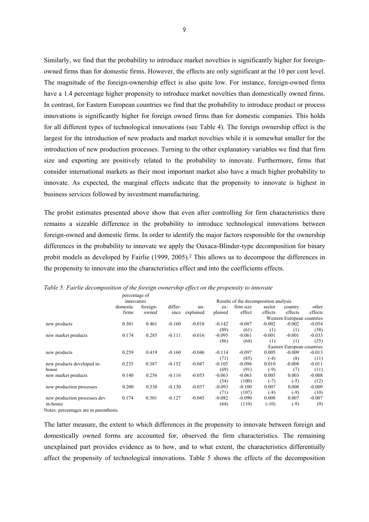Similarly, we find that the probability to introduce market novelties is significantly higher for foreignowned firms than for domestic firms. However, the effects are only significant at the 10 per cent level. The magnitude of the foreign-ownership effect is also quite low. For instance, foreign-owned firms have a 1.4 percentage higher propensity to introduce market novelties than domestically owned firms. In contrast, for Eastern European countries we find that the probability to introduce product or process innovations is significantly higher for foreign owned firms than for domestic companies. This holds for all different types of technological innovations (see Table 4). The foreign ownership effect is the largest for the introduction of new products and market novelties while it is somewhat smaller for the introduction of new production processes. Turning to the other explanatory variables we find that firm size and exporting are positively related to the probability to innovate. Furthermore, firms that consider international markets as their most important market also have a much higher probability to innovate. As expected, the marginal effects indicate that the propensity to innovate is highest in business services followed by investment manufacturing.

The probit estimates presented above show that even after controlling for firm characteristics there remains a sizeable difference in the probability to introduce technological innovations between foreign-owned and domestic firms. In order to identify the major factors responsible for the ownership differences in the probability to innovate we apply the Oaxaca-Blinder-type decomposition for binary probit models as developed by Fairlie (1999, 2005).2 This allows us to decompose the differences in the propensity to innovate into the characteristics effect and into the coefficients effects.

|                              | percentage of              |          |          |                                       |          |           |          |                            |          |  |
|------------------------------|----------------------------|----------|----------|---------------------------------------|----------|-----------|----------|----------------------------|----------|--|
|                              | innovators                 |          |          | Results of the decomposition analysis |          |           |          |                            |          |  |
|                              | domestic                   | foreign- | differ-  | un-                                   | ex-      | firm size | sector   | country                    | other    |  |
|                              | firms                      | owned    | ence     | explained                             | plained  | effect    | effects  | effects                    | effects  |  |
|                              |                            |          |          |                                       |          |           |          | Western European countries |          |  |
| new products                 | 0.301                      | 0.461    | $-0.160$ | $-0.018$                              | $-0.142$ | $-0.087$  | $-0.002$ | $-0.002$                   | $-0.054$ |  |
|                              |                            |          |          |                                       | (89)     | (61)      | (1)      | (1)                        | (38)     |  |
| new market products          | 0.174                      | 0.285    | $-0.111$ | $-0.016$                              | $-0.095$ | $-0.061$  | $-0.001$ | $-0.001$                   | $-0.033$ |  |
|                              |                            |          |          |                                       | (86)     | (64)      | (1)      | (1)                        | (35)     |  |
|                              | Eastern European countries |          |          |                                       |          |           |          |                            |          |  |
| new products                 | 0.259                      | 0.419    | $-0.160$ | $-0.046$                              | $-0.114$ | $-0.097$  | 0.005    | $-0.009$                   | $-0.013$ |  |
|                              |                            |          |          |                                       | (71)     | (85)      | $(-4)$   | (8)                        | (11)     |  |
| new products developed in-   | 0.235                      | 0.387    | $-0.152$ | $-0.047$                              | $-0.105$ | $-0.096$  | 0.010    | $-0.008$                   | $-0.011$ |  |
| house                        |                            |          |          |                                       | (69)     | (91)      | $(-9)$   | (7)                        | (11)     |  |
| new market products          | 0.140                      | 0.256    | $-0.116$ | $-0.053$                              | $-0.063$ | $-0.063$  | 0.005    | 0.003                      | $-0.008$ |  |
|                              |                            |          |          |                                       | (54)     | (100)     | $(-7)$   | $(-5)$                     | (12)     |  |
| new production processes     | 0.200                      | 0.330    | $-0.130$ | $-0.037$                              | $-0.093$ | $-0.100$  | 0.007    | 0.008                      | $-0.009$ |  |
|                              |                            |          |          |                                       | (71)     | (107)     | $(-8)$   | $(-9)$                     | (10)     |  |
| new production processes dev | 0.174                      | 0.301    | $-0.127$ | $-0.045$                              | $-0.082$ | $-0.090$  | 0.008    | 0.007                      | $-0.007$ |  |
| in-house                     |                            |          |          |                                       | (64)     | (110)     | $(-10)$  | $(-9)$                     | (9)      |  |

*Table 5: Fairlie decomposition of the foreign ownership effect on the propensity to innovate* 

Notes: percentages are in parenthesis.

The latter measure, the extent to which differences in the propensity to innovate between foreign and domestically owned forms are accounted for, observed the firm characteristics. The remaining unexplained part provides evidence as to how, and to what extent, the characteristics differentially affect the propensity of technological innovations. Table 5 shows the effects of the decomposition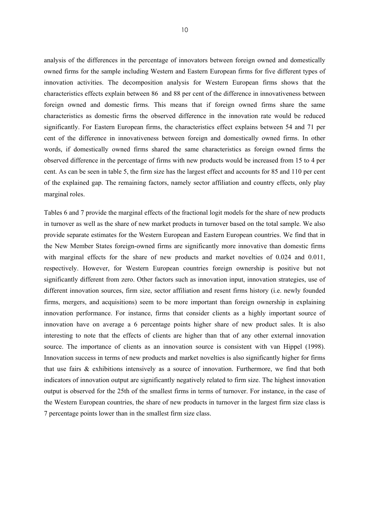analysis of the differences in the percentage of innovators between foreign owned and domestically owned firms for the sample including Western and Eastern European firms for five different types of innovation activities. The decomposition analysis for Western European firms shows that the characteristics effects explain between 86 and 88 per cent of the difference in innovativeness between foreign owned and domestic firms. This means that if foreign owned firms share the same characteristics as domestic firms the observed difference in the innovation rate would be reduced significantly. For Eastern European firms, the characteristics effect explains between 54 and 71 per cent of the difference in innovativeness between foreign and domestically owned firms. In other words, if domestically owned firms shared the same characteristics as foreign owned firms the observed difference in the percentage of firms with new products would be increased from 15 to 4 per cent. As can be seen in table 5, the firm size has the largest effect and accounts for 85 and 110 per cent of the explained gap. The remaining factors, namely sector affiliation and country effects, only play marginal roles.

Tables 6 and 7 provide the marginal effects of the fractional logit models for the share of new products in turnover as well as the share of new market products in turnover based on the total sample. We also provide separate estimates for the Western European and Eastern European countries. We find that in the New Member States foreign-owned firms are significantly more innovative than domestic firms with marginal effects for the share of new products and market novelties of 0.024 and 0.011, respectively. However, for Western European countries foreign ownership is positive but not significantly different from zero. Other factors such as innovation input, innovation strategies, use of different innovation sources, firm size, sector affiliation and resent firms history (i.e. newly founded firms, mergers, and acquisitions) seem to be more important than foreign ownership in explaining innovation performance. For instance, firms that consider clients as a highly important source of innovation have on average a 6 percentage points higher share of new product sales. It is also interesting to note that the effects of clients are higher than that of any other external innovation source. The importance of clients as an innovation source is consistent with van Hippel (1998). Innovation success in terms of new products and market novelties is also significantly higher for firms that use fairs & exhibitions intensively as a source of innovation. Furthermore, we find that both indicators of innovation output are significantly negatively related to firm size. The highest innovation output is observed for the 25th of the smallest firms in terms of turnover. For instance, in the case of the Western European countries, the share of new products in turnover in the largest firm size class is 7 percentage points lower than in the smallest firm size class.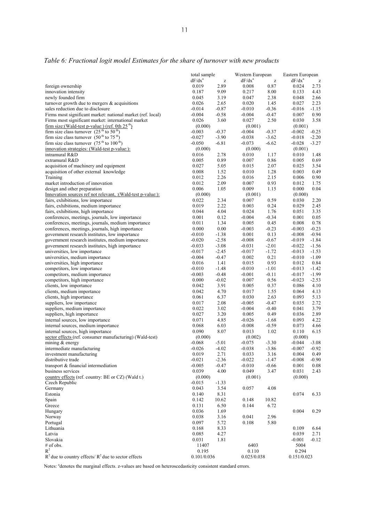|                                                                                                        | total sample         |                                                       | Western European     |                                                       | Eastern European  |                    |
|--------------------------------------------------------------------------------------------------------|----------------------|-------------------------------------------------------|----------------------|-------------------------------------------------------|-------------------|--------------------|
|                                                                                                        | $dF/dx^a$            | $\mathbf{Z}% ^{T}=\mathbf{Z}^{T}\times\mathbf{Z}^{T}$ | $dF/dx^a$            | $\mathbf{Z}% ^{T}=\mathbf{Z}^{T}\times\mathbf{Z}^{T}$ | $dF/dx^a$         | $\mathbf{Z}% _{0}$ |
| foreign ownership<br>innovation intensity                                                              | 0.019<br>0.187       | 2.89<br>9.09                                          | 0.008<br>0.217       | 0.87<br>8.00                                          | 0.024<br>0.133    | 2.73<br>4.43       |
| newly founded firm                                                                                     | 0.045                | 3.19                                                  | 0.047                | 2.38                                                  | 0.048             | 2.66               |
| turnover growth due to mergers $\&$ acquisitions                                                       | 0.026                | 2.65                                                  | 0.020                | 1.45                                                  | 0.027             | 2.23               |
| sales reduction due to disclosure                                                                      | $-0.014$             | $-0.87$                                               | $-0.010$             | $-0.36$                                               | $-0.016$          | $-1.15$            |
| Firms most significant market: national market (ref. local)                                            | $-0.004$             | $-0.58$                                               | $-0.004$             | $-0.47$                                               | 0.007             | 0.90               |
| Firms most significant market: international market                                                    | 0.026                | 3.60                                                  | 0.027                | 2.50                                                  | 0.030             | 3.58               |
| firm size: (Wald-test p-value:) (ref. 0th $25th$ )                                                     | (0.000)              |                                                       | (0.001)              |                                                       | (0.001)           |                    |
| firm size class turnover $(25th$ to 50 <sup>th</sup> )                                                 | $-0.003$             | $-0.37$                                               | $-0.004$             | $-0.37$                                               | $-0.002$          | $-0.25$            |
| firm size class turnover $(50th$ to $75th)$                                                            | $-0.027$             | $-3.90$                                               | $-0.038$             | $-3.62$                                               | $-0.018$          | $-2.20$            |
| firm size class turnover $(75th$ to $100th)$                                                           | $-0.050$             | $-6.81$                                               | $-0.073$             | $-6.62$                                               | $-0.028$          | $-3.27$            |
| innovation strategies: (Wald-test p-value:):                                                           | (0.000)              |                                                       | (0.000)              |                                                       | (0.001)           | 1.48               |
| intramural R&D<br>extramural R&D                                                                       | 0.016<br>0.005       | 2.78<br>0.89                                          | 0.010<br>0.007       | 1.17<br>0.86                                          | 0.010<br>0.005    | 0.69               |
| acquisition of machinery and equipment                                                                 | 0.027                | 5.05                                                  | 0.015                | 2.07                                                  | 0.025             | 3.54               |
| acquisition of other external knowledge                                                                | 0.008                | 1.52                                                  | 0.010                | 1.28                                                  | 0.003             | 0.49               |
| Training                                                                                               | 0.012                | 2.26                                                  | 0.016                | 2.15                                                  | 0.006             | 0.90               |
| market introduction of innovation                                                                      | 0.012                | 2.09                                                  | 0.007                | 0.93                                                  | 0.012             | 1.75               |
| design and other preparation                                                                           | 0.006                | 1.05                                                  | 0.009                | 1.15                                                  | 0.000             | 0.04               |
| Innovation sources ref not relevant, : (Wald-test p-value:):                                           | (0.000)              |                                                       | (0.001)              |                                                       | (0.000)           |                    |
| fairs, exhibitions, low importance                                                                     | 0.022                | 2.34                                                  | 0.007                | 0.59                                                  | 0.030             | 2.20               |
| fairs, exhibitions, medium importance                                                                  | 0.019                | 2.22                                                  | 0.003                | 0.24                                                  | 0.029             | 2.45               |
| fairs, exhibitions, high importance                                                                    | 0.044                | 4.04                                                  | 0.024                | 1.76                                                  | 0.051             | 3.35               |
| conferences, meetings, journals, low importance                                                        | 0.001                | 0.12                                                  | $-0.004$             | $-0.34$                                               | 0.001             | 0.05               |
| conferences, meetings, journals, medium importance<br>conferences, meetings, journals, high importance | 0.011<br>0.000       | 1.34<br>0.00                                          | 0.005<br>$-0.003$    | 0.45<br>$-0.23$                                       | 0.008<br>$-0.003$ | 0.78<br>$-0.23$    |
| government research institutes, low importance                                                         | $-0.010$             | $-1.38$                                               | 0.001                | 0.13                                                  | $-0.008$          | $-0.94$            |
| government research institutes, medium importance                                                      | $-0.020$             | $-2.58$                                               | $-0.008$             | $-0.67$                                               | $-0.019$          | $-1.84$            |
| government research institutes, high importance                                                        | $-0.033$             | $-3.08$                                               | $-0.031$             | $-2.01$                                               | $-0.022$          | $-1.56$            |
| universities, low importance                                                                           | $-0.017$             | $-2.45$                                               | $-0.017$             | $-1.72$                                               | $-0.013$          | $-1.53$            |
| universities, medium importance                                                                        | $-0.004$             | $-0.47$                                               | 0.002                | 0.21                                                  | $-0.010$          | $-1.09$            |
| universities, high importance                                                                          | 0.016                | 1.41                                                  | 0.015                | 0.93                                                  | 0.012             | 0.84               |
| competitors, low importance                                                                            | $-0.010$             | $-1.48$                                               | $-0.010$             | $-1.01$                                               | $-0.013$          | $-1.42$            |
| competitors, medium importance                                                                         | $-0.003$             | $-0.48$                                               | $-0.001$             | $-0.11$                                               | $-0.017$          | $-1.99$            |
| competitors, high importance                                                                           | 0.000                | $-0.02$                                               | 0.007                | 0.56                                                  | $-0.023$          | $-2.53$            |
| clients, low importance                                                                                | 0.042                | 3.91                                                  | 0.005                | 0.37                                                  | 0.086             | 4.10               |
| clients, medium importance<br>clients, high importance                                                 | 0.042<br>0.061       | 4.70<br>6.37                                          | 0.017<br>0.030       | 1.55<br>2.63                                          | 0.064<br>0.093    | 4.13<br>5.13       |
| suppliers, low importance                                                                              | 0.017                | 2.08                                                  | $-0.005$             | $-0.47$                                               | 0.035             | 2.72               |
| suppliers, medium importance                                                                           | 0.022                | 3.02                                                  | $-0.004$             | $-0.40$                                               | 0.041             | 3.79               |
| suppliers, high importance                                                                             | 0.027                | 3.20                                                  | 0.005                | 0.49                                                  | 0.036             | 2.89               |
| internal sources, low importance                                                                       | 0.071                | 4.85                                                  | $-0.026$             | $-1.68$                                               | 0.093             | 4.22               |
| internal sources, medium importance                                                                    | 0.068                | 6.03                                                  | $-0.008$             | $-0.59$                                               | 0.073             | 4.66               |
| internal sources, high importance                                                                      | 0.090                | 8.07                                                  | 0.013                | 1.02                                                  | 0.110             | 6.15               |
| sector effects (ref. consumer manufacturing) (Wald-test)                                               | (0.000)              |                                                       | (0.002)              |                                                       | (0.000)           |                    |
| mining $&$ energy                                                                                      | $-0.068$             | $-5.01$                                               | $-0.075$             | $-3.30$                                               | $-0.044$          | $-3.08$            |
| intermediate manufacturing                                                                             | $-0.026$             | $-4.02$                                               | $-0.038$             | $-3.86$                                               | $-0.007$          | $-0.92$            |
| investment manufacturing                                                                               | 0.019                | 2.71                                                  | 0.033                | 3.16                                                  | 0.004             | 0.49               |
| distributive trade<br>transport & financial intermediation                                             | $-0.021$<br>$-0.005$ | $-2.36$<br>$-0.47$                                    | $-0.022$<br>$-0.010$ | -1.47<br>$-0.66$                                      | $-0.008$<br>0.001 | $-0.90$<br>0.08    |
| business services                                                                                      | 0.039                | 4.00                                                  | 0.049                | 3.47                                                  | 0.031             | 2.43               |
| country effects (ref. country: BE or CZ) (Wald t.)                                                     | (0.000)              |                                                       | (0.001)              |                                                       | (0.000)           |                    |
| Czech Republic                                                                                         | $-0.015$             | $-1.33$                                               |                      |                                                       |                   |                    |
| Germany                                                                                                | 0.043                | 3.54                                                  | 0.057                | 4.08                                                  |                   |                    |
| Estonia                                                                                                | 0.140                | 8.31                                                  |                      |                                                       | 0.074             | 6.33               |
| Spain                                                                                                  | 0.142                | 10.62                                                 | 0.148                | 10.82                                                 |                   |                    |
| Greece                                                                                                 | 0.131                | 6.50                                                  | 0.144                | 6.72                                                  |                   |                    |
| Hungary                                                                                                | 0.036                | 1.69                                                  |                      |                                                       | 0.004             | 0.29               |
| Norway                                                                                                 | 0.038                | 3.16                                                  | 0.041                | 2.96                                                  |                   |                    |
| Portugal                                                                                               | 0.097                | 5.72                                                  | 0.108                | 5.80                                                  |                   |                    |
| Lithuania<br>Latvia                                                                                    | 0.168<br>0.085       | 8.33<br>4.27                                          |                      |                                                       | 0.109<br>0.039    | 6.64<br>2.71       |
| Slovakia                                                                                               | 0.031                | 1.81                                                  |                      |                                                       | $-0.001$          | $-0.12$            |
| # of obs.                                                                                              | 11407                |                                                       | 6403                 |                                                       | 5004              |                    |
| $R^2$                                                                                                  | 0.195                |                                                       | 0.110                |                                                       | 0.294             |                    |
| $R^2$ due to country effects/ $R^2$ due to sector effects                                              | 0.101/0.036          |                                                       | 0.025/0.038          |                                                       | 0.151/0.023       |                    |

# *Table 6: Fractional logit model Estimates for the share of turnover with new products*

Notes: <sup>a</sup>denotes the marginal effects. z-values are based on heteroscedasticity consistent standard errors.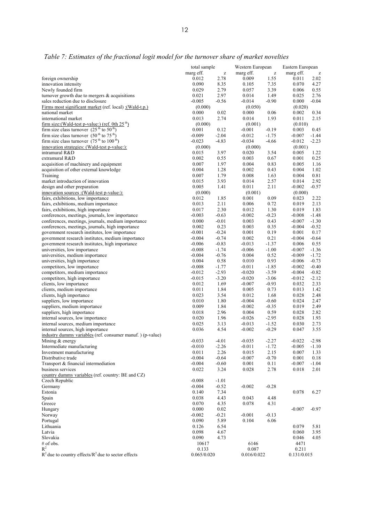|                                                                                             | total sample         |                    | Western European     |                                                       | Eastern European     |                    |
|---------------------------------------------------------------------------------------------|----------------------|--------------------|----------------------|-------------------------------------------------------|----------------------|--------------------|
|                                                                                             | marg eff.            | Z                  | marg eff.            | $\mathbf{Z}% ^{T}=\mathbf{Z}^{T}\times\mathbf{Z}^{T}$ | marg eff.            | $\mathbf{Z}% _{0}$ |
| foreign ownership                                                                           | 0.012<br>0.090       | 2.78               | 0.009                | 1.55                                                  | 0.011<br>0.070       | 2.02               |
| innovation intensity<br>Newly founded firm                                                  | 0.029                | 8.35<br>2.79       | 0.105<br>0.057       | 7.35<br>3.39                                          | 0.006                | 4.27<br>0.55       |
| turnover growth due to mergers $\&$ acquisitions                                            | 0.021                | 2.97               | 0.014                | 1.49                                                  | 0.025                | 2.76               |
| sales reduction due to disclosure                                                           | $-0.005$             | $-0.56$            | $-0.014$             | $-0.90$                                               | 0.000                | $-0.04$            |
| Firms most significant market (ref. local) : (Wald-t.p.)                                    | (0.000)              |                    | (0.050)              |                                                       | (0.020)              |                    |
| national market                                                                             | 0.000                | 0.02               | 0.000                | 0.06                                                  | 0.002                | 0.34               |
| international market                                                                        | 0.013                | 2.74               | 0.014                | 1.93                                                  | 0.011                | 2.15               |
| firm size: (Wald-test p-value:) (ref. 0th $25th$ )                                          | (0.000)              |                    | (0.001)              |                                                       | (0.010)              |                    |
| firm size class turnover $(25th$ to $50th)$                                                 | 0.001                | 0.12               | $-0.001$             | $-0.19$                                               | 0.003                | 0.45               |
| firm size class turnover $(50th$ to $75th)$<br>firm size class turnover $(75th$ to $100th)$ | $-0.009$<br>$-0.023$ | $-2.04$<br>$-4.83$ | $-0.012$<br>$-0.034$ | $-1.75$<br>$-4.66$                                    | $-0.007$<br>$-0.012$ | $-1.44$<br>$-2.23$ |
| innovation strategies: (Wald-test p-value:):                                                | (0.000)              |                    | (0.000)              |                                                       | (0.001)              |                    |
| intramural R&D                                                                              | 0.015                | 3.97               | 0.020                | 3.54                                                  | 0.005                | 1.22               |
| extramural R&D                                                                              | 0.002                | 0.55               | 0.003                | 0.67                                                  | 0.001                | 0.25               |
| acquisition of machinery and equipment                                                      | 0.007                | 1.97               | 0.004                | 0.83                                                  | 0.005                | 1.16               |
| acquisition of other external knowledge                                                     | 0.004                | 1.28               | 0.002                | 0.43                                                  | 0.004                | 1.02               |
| Training                                                                                    | 0.007                | 1.79               | 0.008                | 1.63                                                  | 0.004                | 0.81               |
| market introduction of innovation                                                           | 0.015                | 3.93               | 0.014                | 2.57                                                  | 0.014                | 2.92               |
| design and other preparation                                                                | 0.005                | 1.41               | 0.011                | 2.11                                                  | $-0.002$             | $-0.57$            |
| innovation sources : (Wald-test p-value:):<br>fairs, exhibitions, low importance            | (0.000)<br>0.012     | 1.85               | (0.001)<br>0.001     | 0.09                                                  | (0.000)<br>0.023     | 2.22               |
| fairs, exhibitions, medium importance                                                       | 0.013                | 2.11               | 0.006                | 0.72                                                  | 0.019                | 2.13               |
| fairs, exhibitions, high importance                                                         | 0.017                | 2.30               | 0.012                | 1.30                                                  | 0.019                | 1.83               |
| conferences, meetings, journals, low importance                                             | $-0.003$             | $-0.63$            | $-0.002$             | $-0.23$                                               | $-0.008$             | $-1.48$            |
| conferences, meetings, journals, medium importance                                          | 0.000                | $-0.01$            | 0.003                | 0.43                                                  | $-0.007$             | $-1.30$            |
| conferences, meetings, journals, high importance                                            | 0.002                | 0.23               | 0.003                | 0.35                                                  | $-0.004$             | $-0.52$            |
| government research institutes, low importance                                              | $-0.001$             | $-0.24$            | 0.001                | 0.19                                                  | 0.001                | 0.17               |
| government research institutes, medium importance                                           | $-0.004$             | $-0.74$            | 0.002                | 0.21                                                  | $-0.004$             | $-0.64$            |
| government research institutes, high importance                                             | $-0.006$             | $-0.83$            | $-0.013$             | $-1.37$<br>$-1.00$                                    | 0.006                | 0.55               |
| universities, low importance<br>universities, medium importance                             | $-0.008$<br>$-0.004$ | $-1.74$<br>$-0.76$ | $-0.006$<br>0.004    | 0.52                                                  | $-0.007$<br>$-0.009$ | $-1.36$<br>$-1.72$ |
| universities, high importance                                                               | 0.004                | 0.58               | 0.010                | 0.93                                                  | $-0.006$             | $-0.73$            |
| competitors, low importance                                                                 | $-0.008$             | $-1.77$            | $-0.011$             | $-1.85$                                               | $-0.002$             | $-0.40$            |
| competitors, medium importance                                                              | $-0.012$             | $-2.93$            | $-0.020$             | $-3.59$                                               | $-0.004$             | $-0.82$            |
| competitors, high importance                                                                | $-0.015$             | $-3.20$            | $-0.020$             | $-3.06$                                               | $-0.012$             | $-2.12$            |
| clients, low importance                                                                     | 0.012                | 1.69               | $-0.007$             | $-0.93$                                               | 0.032                | 2.33               |
| clients, medium importance                                                                  | 0.011                | 1.84               | 0.005                | 0.73                                                  | 0.013                | 1.42               |
| clients, high importance                                                                    | 0.023                | 3.54               | 0.012                | 1.68                                                  | 0.028                | 2.48               |
| suppliers, low importance<br>suppliers, medium importance                                   | 0.010<br>0.009       | 1.80<br>1.84       | $-0.004$<br>$-0.002$ | $-0.60$<br>$-0.35$                                    | 0.024<br>0.019       | 2.47<br>2.49       |
| suppliers, high importance                                                                  | 0.018                | 2.96               | 0.004                | 0.59                                                  | 0.028                | 2.82               |
| internal sources, low importance                                                            | 0.020                | 1.96               | $-0.026$             | $-2.95$                                               | 0.028                | 1.93               |
| internal sources, medium importance                                                         | 0.025                | 3.13               | $-0.013$             | $-1.52$                                               | 0.030                | 2.73               |
| internal sources, high importance                                                           | 0.036                | 4.54               | $-0.002$             | $-0.29$                                               | 0.047                | 3.55               |
| industry dummy variables (ref. consumer manuf.) (p-value)                                   |                      |                    |                      |                                                       |                      |                    |
| Mining $&$ energy                                                                           | $-0.033$             | $-4.01$            | $-0.035$             | $-2.27$                                               | $-0.022$             | $-2.98$            |
| Intermediate manufacturing                                                                  | $-0.010$             | $-2.26$            | $-0.011$             | $-1.72$                                               | $-0.005$             | $-1.10$            |
| Investment manufacturing<br>Distributive trade                                              | 0.011<br>$-0.004$    | 2.26<br>$-0.64$    | 0.015<br>$-0.007$    | 2.15<br>$-0.70$                                       | 0.007<br>0.001       | 1.33<br>0.18       |
| Transport & financial intermediation                                                        | $-0.004$             | $-0.60$            | 0.001                | 0.11                                                  | $-0.007$             | $-1.04$            |
| business services                                                                           | 0.022                | 3.24               | 0.028                | 2.78                                                  | 0.018                | 2.01               |
| country dummy variables (ref. country: BE and CZ)                                           |                      |                    |                      |                                                       |                      |                    |
| Czech Republic                                                                              | $-0.008$             | $-1.01$            |                      |                                                       |                      |                    |
| Germany                                                                                     | $-0.004$             | $-0.52$            | $-0.002$             | $-0.28$                                               |                      |                    |
| Estonia                                                                                     | 0.140                | 7.34               |                      |                                                       | 0.078                | 6.27               |
| Spain                                                                                       | 0.038                | 4.43               | 0.043                | 4.48                                                  |                      |                    |
| Greece                                                                                      | 0.070                | 4.35               | 0.078                | 4.31                                                  |                      |                    |
| Hungary<br>Norway                                                                           | 0.000<br>$-0.002$    | 0.02               |                      | $-0.13$                                               | $-0.007$             | $-0.97$            |
| Portugal                                                                                    | 0.090                | $-0.21$<br>5.89    | $-0.001$<br>0.104    | 6.06                                                  |                      |                    |
| Lithuania                                                                                   | 0.126                | 6.54               |                      |                                                       | 0.079                | 5.81               |
| Latvia                                                                                      | 0.098                | 4.67               |                      |                                                       | 0.060                | 3.95               |
| Slovakia                                                                                    | 0.090                | 4.73               |                      |                                                       | 0.046                | 4.05               |
| # of obs.                                                                                   | 10617                |                    | 6146                 |                                                       | 4471                 |                    |
| $R^2$                                                                                       | 0.133                |                    | 0.087                |                                                       | 0.211                |                    |
| $R^2$ due to country effects/ $R^2$ due to sector effects                                   | 0.065/0.020          |                    | 0.016/0.022          |                                                       | 0.131/0.015          |                    |

# *Table 7: Estimates of the fractional logit model for the turnover share of market novelties*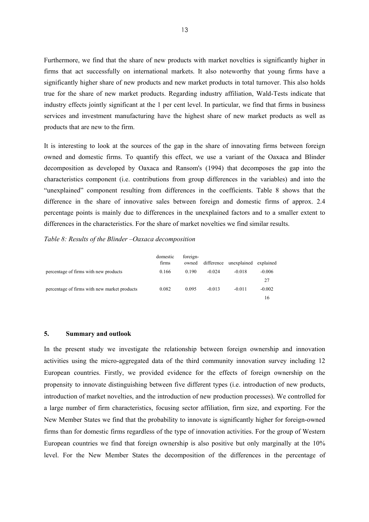Furthermore, we find that the share of new products with market novelties is significantly higher in firms that act successfully on international markets. It also noteworthy that young firms have a significantly higher share of new products and new market products in total turnover. This also holds true for the share of new market products. Regarding industry affiliation, Wald-Tests indicate that industry effects jointly significant at the 1 per cent level. In particular, we find that firms in business services and investment manufacturing have the highest share of new market products as well as products that are new to the firm.

It is interesting to look at the sources of the gap in the share of innovating firms between foreign owned and domestic firms. To quantify this effect, we use a variant of the Oaxaca and Blinder decomposition as developed by Oaxaca and Ransom's (1994) that decomposes the gap into the characteristics component (i.e. contributions from group differences in the variables) and into the "unexplained" component resulting from differences in the coefficients. Table 8 shows that the difference in the share of innovative sales between foreign and domestic firms of approx. 2.4 percentage points is mainly due to differences in the unexplained factors and to a smaller extent to differences in the characteristics. For the share of market novelties we find similar results.

*Table 8: Results of the Blinder –Oaxaca decomposition* 

|                                              | domestic<br>firms | foreign-<br>owned | difference | unexplained | explained |
|----------------------------------------------|-------------------|-------------------|------------|-------------|-----------|
| percentage of firms with new products        | 0.166             | 0.190             | $-0.024$   | $-0.018$    | $-0.006$  |
|                                              |                   |                   |            |             | 27        |
| percentage of firms with new market products | 0.082             | 0.095             | $-0.013$   | $-0.011$    | $-0.002$  |
|                                              |                   |                   |            |             | 16        |

### **5. Summary and outlook**

In the present study we investigate the relationship between foreign ownership and innovation activities using the micro-aggregated data of the third community innovation survey including 12 European countries. Firstly, we provided evidence for the effects of foreign ownership on the propensity to innovate distinguishing between five different types (i.e. introduction of new products, introduction of market novelties, and the introduction of new production processes). We controlled for a large number of firm characteristics, focusing sector affiliation, firm size, and exporting. For the New Member States we find that the probability to innovate is significantly higher for foreign-owned firms than for domestic firms regardless of the type of innovation activities. For the group of Western European countries we find that foreign ownership is also positive but only marginally at the 10% level. For the New Member States the decomposition of the differences in the percentage of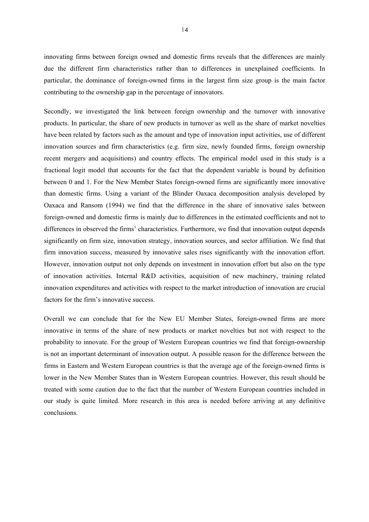innovating firms between foreign owned and domestic firms reveals that the differences are mainly due the different firm characteristics rather than to differences in unexplained coefficients. In particular, the dominance of foreign-owned firms in the largest firm size group is the main factor contributing to the ownership gap in the percentage of innovators.

Secondly, we investigated the link between foreign ownership and the turnover with innovative products. In particular, the share of new products in turnover as well as the share of market novelties have been related by factors such as the amount and type of innovation input activities, use of different innovation sources and firm characteristics (e.g. firm size, newly founded firms, foreign ownership recent mergers and acquisitions) and country effects. The empirical model used in this study is a fractional logit model that accounts for the fact that the dependent variable is bound by definition between 0 and 1. For the New Member States foreign-owned firms are significantly more innovative than domestic firms. Using a variant of the Blinder Oaxaca decomposition analysis developed by Oaxaca and Ransom (1994) we find that the difference in the share of innovative sales between foreign-owned and domestic firms is mainly due to differences in the estimated coefficients and not to differences in observed the firms' characteristics. Furthermore, we find that innovation output depends significantly on firm size, innovation strategy, innovation sources, and sector affiliation. We find that firm innovation success, measured by innovative sales rises significantly with the innovation effort. However, innovation output not only depends on investment in innovation effort but also on the type of innovation activities. Internal R&D activities, acquisition of new machinery, training related innovation expenditures and activities with respect to the market introduction of innovation are crucial factors for the firm's innovative success.

Overall we can conclude that for the New EU Member States, foreign-owned firms are more innovative in terms of the share of new products or market novelties but not with respect to the probability to innovate. For the group of Western European countries we find that foreign-ownership is not an important determinant of innovation output. A possible reason for the difference between the firms in Eastern and Western European countries is that the average age of the foreign-owned firms is lower in the New Member States than in Western European countries. However, this result should be treated with some caution due to the fact that the number of Western European countries included in our study is quite limited. More research in this area is needed before arriving at any definitive conclusions.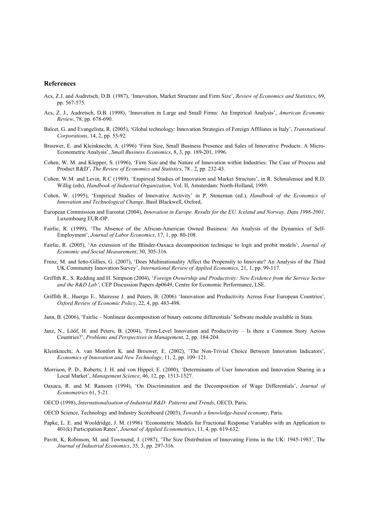#### **References**

- Acs, Z.J. and Audretsch, D.B. (1987), 'Innovation, Market Structure and Firm Size', *Review of Economics and Statistics*, 69, pp. 567-575.
- Acs, Z. J., Audretsch, D.B. (1998), 'Innovation in Large and Small Firms: An Empirical Analysis', *American Economic Review*, 78, pp. 678-690.
- Balcet, G. and Evangelista, R. (2005), 'Global technology: Innovation Strategies of Foreign Affiliates in Italy', *Transnational Corporations*, 14, 2, pp. 53-92.
- Brouwer, E. and Kleinknecht, A. (1996) 'Firm Size, Small Business Presence and Sales of Innovative Products: A Micro-Econometric Analysis', *Small Business Economics*, 8, 3, pp. 189-201, 1996.
- Cohen, W. M. and Klepper, S. (1996), 'Firm Size and the Nature of Innovation within Industries: The Case of Process and Product R&D', *The Review of Economics and Statistics*, 78 , 2, pp. 232-43.
- Cohen, W.M. and Levin, R.C (1989). 'Empirical Studies of Innovation and Market Structure', in R. Schmalensee and R.D. Willig (eds), *Handbook of Industrial Organization*, Vol. II, Amsterdam: North-Holland, 1989.
- Cohen, W. (1995), 'Empirical Studies of Innovative Activity' in P. Stoneman (ed.), *Handbook of the Economics of Innovation and Technological Change*, Basil Blackwell, Oxford,
- European Commission and Eurostat (2004), *Innovation in Europe. Results for the EU, Iceland and Norway. Data 1998-2001,* Luxembourg EUR-OP.
- Fairlie, R. (1999), 'The Absence of the African-American Owned Business: An Analysis of the Dynamics of Self-Employment', *Journal of Labor Economics*, 17, 1, pp. 80-108.
- Fairlie, R. (2005), 'An extension of the Blinder-Oaxaca decomposition technique to logit and probit models', *Journal of Economic and Social Measurement*, 30, 305-316.
- Frenz, M. and Ietto-Gillies, G. (2007), 'Does Multinationality Affect the Propensity to Innovate? An Analysis of the Third UK Community Innovation Survey', *International Review of Applied Economics*, 21, 1, pp. 99-117.
- Griffith R., S. Redding and H. Simpson (2004), '*Foreign Ownership and Productivity: New Evidence from the Service Sector and the R&D Lab'*, CEP Discussion Papers dp0649, Centre for Economic Performance, LSE.
- Griffith R., Huergo E., Mairesse J. and Peters, B: (2006) 'Innovation and Productivity Across Four European Countries', *Oxford Review of Economic Policy*, 22, 4, pp. 483-498.
- Jann, B. (2006), 'Fairlie Nonlinear decomposition of binary outcome differentials' Software module available in Stata.
- Janz, N., Lööf, H. and Peters, B. (2004), 'Firm-Level Innovation and Productivity Is there a Common Story Across Countries?', *Problems and Perspectives in Management*, 2, pp. 184-204.
- Kleinknecht, A. van Montfort K. and Brouwer, E. (2002), 'The Non-Trivial Choice Between Innovation Indicators', *Economics of Innovation and New Technology*, 11, 2, pp. 109–121.
- Morrison, P. D., Roberts, J. H. and von Hippel, E. (2000), 'Determinants of User Innovation and Innovation Sharing in a Local Market', *Management Science*, 46, 12, pp. 1513-1527.
- Oaxaca, R. and M. Ransom (1994), 'On Discrimination and the Decomposition of Wage Differentials', *Journal of Econometrics* 61, 5-21.
- OECD (1998), *Internationalisation of Industrial R&D: Patterns and Trends*, OECD, Paris.
- OECD Science, Technology and Industry Scoreboard (2003), *Towards a knowledge-based economy*, Paris.
- Papke, L. E. and Wooldridge, J. M. (1996) 'Econometric Models for Fractional Response Variables with an Application to 401(k) Participation Rates', *Journal of Applied Econometrics*, 11, 4, pp. 619-632.
- Pavitt, K, Robinson, M. and Townsend, J. (1987), 'The Size Distribution of Innovating Firms in the UK: 1945-1983', The *Journal of Industrial Economics*, 35, 3, pp. 297-316.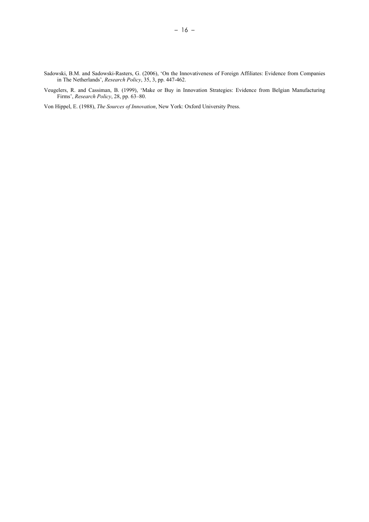- Sadowski, B.M. and Sadowski-Rasters, G. (2006), 'On the Innovativeness of Foreign Affiliates: Evidence from Companies in The Netherlands', *Research Policy*, 35, 3, pp. 447-462.
- Veugelers, R. and Cassiman, B. (1999), 'Make or Buy in Innovation Strategies: Evidence from Belgian Manufacturing Firms', *Research Policy*, 28, pp. 63–80.

Von Hippel, E. (1988), *The Sources of Innovation*, New York: Oxford University Press.